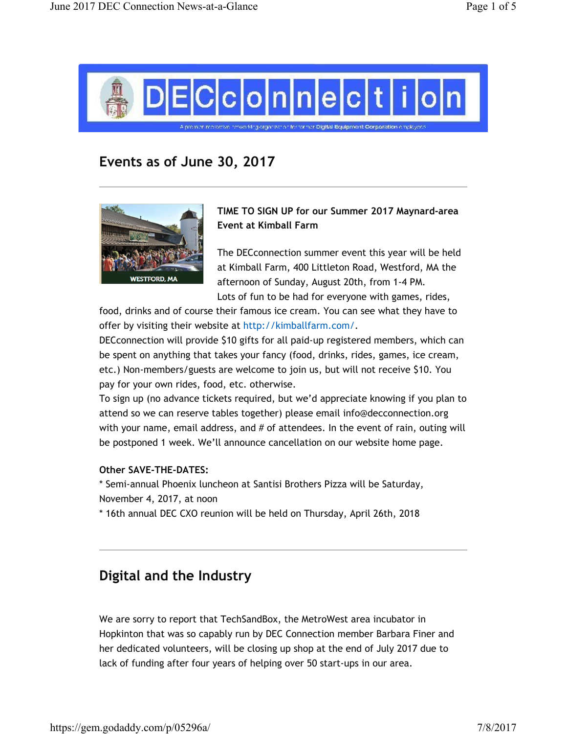

# Events as of June 30, 2017



TIME TO SIGN UP for our Summer 2017 Maynard-area Event at Kimball Farm

The DECconnection summer event this year will be held at Kimball Farm, 400 Littleton Road, Westford, MA the afternoon of Sunday, August 20th, from 1-4 PM. Lots of fun to be had for everyone with games, rides,

food, drinks and of course their famous ice cream. You can see what they have to offer by visiting their website at http://kimballfarm.com/.

DECconnection will provide \$10 gifts for all paid-up registered members, which can be spent on anything that takes your fancy (food, drinks, rides, games, ice cream, etc.) Non-members/guests are welcome to join us, but will not receive \$10. You pay for your own rides, food, etc. otherwise.

To sign up (no advance tickets required, but we'd appreciate knowing if you plan to attend so we can reserve tables together) please email info@decconnection.org with your name, email address, and # of attendees. In the event of rain, outing will be postponed 1 week. We'll announce cancellation on our website home page.

#### Other SAVE-THE-DATES:

\* Semi-annual Phoenix luncheon at Santisi Brothers Pizza will be Saturday, November 4, 2017, at noon

\* 16th annual DEC CXO reunion will be held on Thursday, April 26th, 2018

### Digital and the Industry

We are sorry to report that TechSandBox, the MetroWest area incubator in Hopkinton that was so capably run by DEC Connection member Barbara Finer and her dedicated volunteers, will be closing up shop at the end of July 2017 due to lack of funding after four years of helping over 50 start-ups in our area.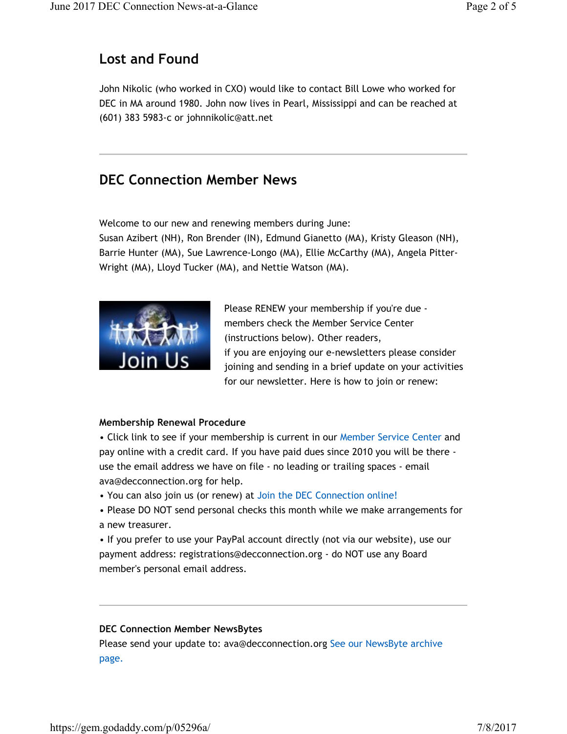### Lost and Found

John Nikolic (who worked in CXO) would like to contact Bill Lowe who worked for DEC in MA around 1980. John now lives in Pearl, Mississippi and can be reached at (601) 383 5983-c or johnnikolic@att.net

### DEC Connection Member News

Welcome to our new and renewing members during June:

Susan Azibert (NH), Ron Brender (IN), Edmund Gianetto (MA), Kristy Gleason (NH), Barrie Hunter (MA), Sue Lawrence-Longo (MA), Ellie McCarthy (MA), Angela Pitter-Wright (MA), Lloyd Tucker (MA), and Nettie Watson (MA).



Please RENEW your membership if you're due members check the Member Service Center (instructions below). Other readers, if you are enjoying our e-newsletters please consider joining and sending in a brief update on your activities for our newsletter. Here is how to join or renew:

#### Membership Renewal Procedure

• Click link to see if your membership is current in our Member Service Center and pay online with a credit card. If you have paid dues since 2010 you will be there use the email address we have on file - no leading or trailing spaces - email ava@decconnection.org for help.

- You can also join us (or renew) at Join the DEC Connection online!
- Please DO NOT send personal checks this month while we make arrangements for a new treasurer.

• If you prefer to use your PayPal account directly (not via our website), use our payment address: registrations@decconnection.org - do NOT use any Board member's personal email address.

#### DEC Connection Member NewsBytes

Please send your update to: ava@decconnection.org See our NewsByte archive page.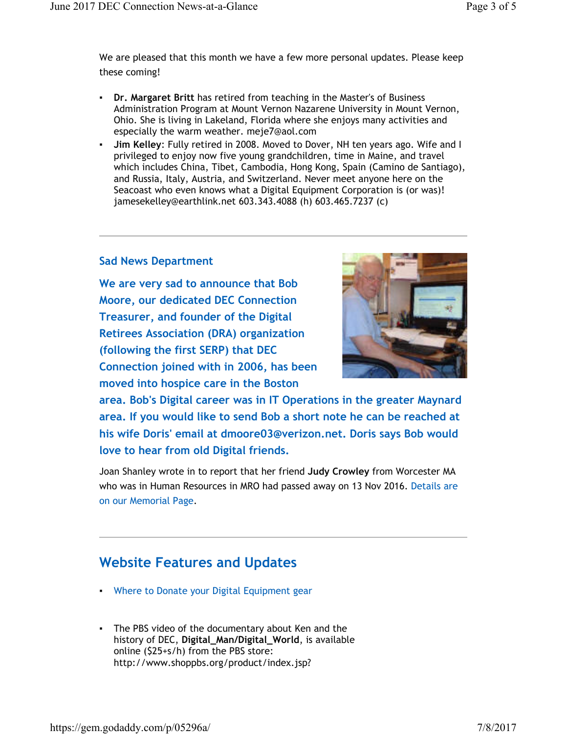We are pleased that this month we have a few more personal updates. Please keep these coming!

- Dr. Margaret Britt has retired from teaching in the Master's of Business Administration Program at Mount Vernon Nazarene University in Mount Vernon, Ohio. She is living in Lakeland, Florida where she enjoys many activities and especially the warm weather. meje7@aol.com
- Jim Kelley: Fully retired in 2008. Moved to Dover, NH ten years ago. Wife and I privileged to enjoy now five young grandchildren, time in Maine, and travel which includes China, Tibet, Cambodia, Hong Kong, Spain (Camino de Santiago), and Russia, Italy, Austria, and Switzerland. Never meet anyone here on the Seacoast who even knows what a Digital Equipment Corporation is (or was)! jamesekelley@earthlink.net 603.343.4088 (h) 603.465.7237 (c)

#### Sad News Department

We are very sad to announce that Bob Moore, our dedicated DEC Connection Treasurer, and founder of the Digital Retirees Association (DRA) organization (following the first SERP) that DEC Connection joined with in 2006, has been moved into hospice care in the Boston



area. Bob's Digital career was in IT Operations in the greater Maynard area. If you would like to send Bob a short note he can be reached at his wife Doris' email at dmoore03@verizon.net. Doris says Bob would love to hear from old Digital friends.

Joan Shanley wrote in to report that her friend Judy Crowley from Worcester MA who was in Human Resources in MRO had passed away on 13 Nov 2016. Details are on our Memorial Page.

## Website Features and Updates

- Where to Donate your Digital Equipment gear
- The PBS video of the documentary about Ken and the history of DEC, Digital\_Man/Digital\_World, is available online (\$25+s/h) from the PBS store: http://www.shoppbs.org/product/index.jsp?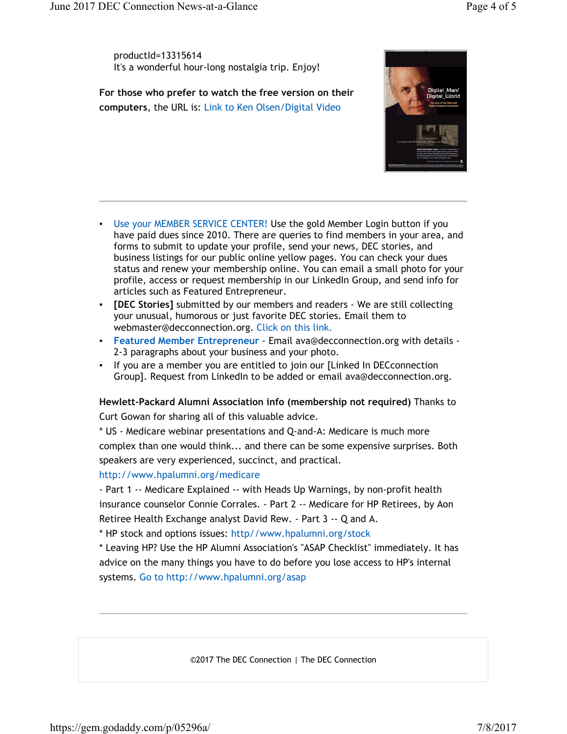productId=13315614 It's a wonderful hour-long nostalgia trip. Enjoy!

For those who prefer to watch the free version on their computers, the URL is: Link to Ken Olsen/Digital Video



- **Use your MEMBER SERVICE CENTER! Use the gold Member Login button if you** have paid dues since 2010. There are queries to find members in your area, and forms to submit to update your profile, send your news, DEC stories, and business listings for our public online yellow pages. You can check your dues status and renew your membership online. You can email a small photo for your profile, access or request membership in our LinkedIn Group, and send info for articles such as Featured Entrepreneur.
- [DEC Stories] submitted by our members and readers We are still collecting your unusual, humorous or just favorite DEC stories. Email them to webmaster@decconnection.org. Click on this link.
- Featured Member Entrepreneur Email ava@decconnection.org with details 2-3 paragraphs about your business and your photo.
- If you are a member you are entitled to join our [Linked In DECconnection Group]. Request from LinkedIn to be added or email ava@decconnection.org.

Hewlett-Packard Alumni Association info (membership not required) Thanks to Curt Gowan for sharing all of this valuable advice.

\* US - Medicare webinar presentations and Q-and-A: Medicare is much more complex than one would think... and there can be some expensive surprises. Both speakers are very experienced, succinct, and practical.

http://www.hpalumni.org/medicare

- Part 1 -- Medicare Explained -- with Heads Up Warnings, by non-profit health insurance counselor Connie Corrales. - Part 2 -- Medicare for HP Retirees, by Aon Retiree Health Exchange analyst David Rew. - Part 3 -- Q and A.

\* HP stock and options issues: http//www.hpalumni.org/stock

\* Leaving HP? Use the HP Alumni Association's "ASAP Checklist" immediately. It has advice on the many things you have to do before you lose access to HP's internal systems. Go to http://www.hpalumni.org/asap

©2017 The DEC Connection | The DEC Connection